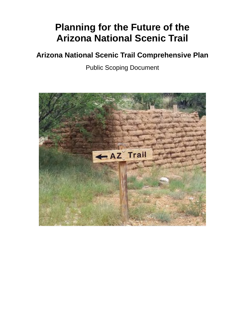# **Planning for the Future of the Arizona National Scenic Trail**

## **Arizona National Scenic Trail Comprehensive Plan**

Public Scoping Document

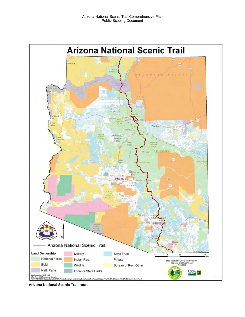

**Arizona National Scenic Trail route**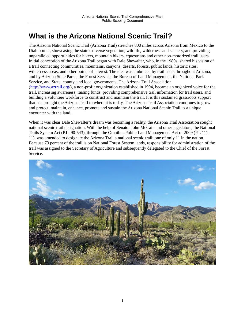## **What is the Arizona National Scenic Trail?**

The Arizona National Scenic Trail (Arizona Trail) stretches 800 miles across Arizona from Mexico to the Utah border, showcasing the state's diverse vegetation, wildlife, wilderness and scenery, and providing unparalleled opportunities for hikers, mountain bikers, equestrians and other non-motorized trail users. Initial conception of the Arizona Trail began with Dale Shewalter, who, in the 1980s, shared his vision of a trail connecting communities, mountains, canyons, deserts, forests, public lands, historic sites, wilderness areas, and other points of interest. The idea was embraced by trail users throughout Arizona, and by Arizona State Parks, the Forest Service, the Bureau of Land Management, the National Park Service, and State, county, and local governments. The Arizona Trail Association [\(http://www.aztrail.org/\)](http://www.aztrail.org/), a non-profit organization established in 1994, became an organized voice for the trail, increasing awareness, raising funds, providing comprehensive trail information for trail users, and building a volunteer workforce to construct and maintain the trail. It is this sustained grassroots support that has brought the Arizona Trail to where it is today. The Arizona Trail Association continues to grow and protect, maintain, enhance, promote and sustain the Arizona National Scenic Trail as a unique encounter with the land.

When it was clear Dale Shewalter's dream was becoming a reality, the Arizona Trail Association sought national scenic trail designation. With the help of Senator John McCain and other legislators, the National Trails System Act (P.L. 90-543), through the Omnibus Public Land Management Act of 2009 (P.L 111- 11), was amended to designate the Arizona Trail a national scenic trail; one of only 11 in the nation. Because 73 percent of the trail is on National Forest System lands, responsibility for administration of the trail was assigned to the Secretary of Agriculture and subsequently delegated to the Chief of the Forest Service.

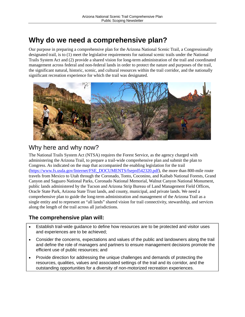## **Why do we need a comprehensive plan?**

Our purpose in preparing a comprehensive plan for the Arizona National Scenic Trail, a Congressionally designated trail, is to (1) meet the legislative requirements for national scenic trails under the National Trails System Act and (2) provide a shared vision for long-term administration of the trail and coordinated management across federal and non-federal lands in order to protect the nature and purposes of the trail, the significant natural, historic, scenic, and cultural resources within the trail corridor, and the nationally significant recreation experience for which the trail was designated.



### Why here and why now?

The National Trails System Act (NTSA) requires the Forest Service, as the agency charged with administering the Arizona Trail, to prepare a trail-wide comprehensive plan and submit the plan to Congress. As indicated on the map that accompanied the enabling legislation for the trail [\(https://www.fs.usda.gov/Internet/FSE\\_DOCUMENTS/fseprd542320.pdf\)](https://www.fs.usda.gov/Internet/FSE_DOCUMENTS/fseprd542320.pdf), the more than 800-mile route travels from Mexico to Utah through the Coronado, Tonto, Coconino, and Kaibab National Forests, Grand Canyon and Saguaro National Parks, Coronado National Memorial, Walnut Canyon National Monument, public lands administered by the Tucson and Arizona Strip Bureau of Land Management Field Offices, Oracle State Park, Arizona State Trust lands, and county, municipal, and private lands. We need a comprehensive plan to guide the long-term administration and management of the Arizona Trail as a single entity and to represent an "all lands" shared vision for trail connectivity, stewardship, and services along the length of the trail across all jurisdictions.

### **The comprehensive plan will:**

- Establish trail-wide guidance to define how resources are to be protected and visitor uses and experiences are to be achieved;
- Consider the concerns, expectations and values of the public and landowners along the trail and define the role of managers and partners to ensure management decisions promote the efficient use of public resources; and
- Provide direction for addressing the unique challenges and demands of protecting the resources, qualities, values and associated settings of the trail and its corridor, and the outstanding opportunities for a diversity of non-motorized recreation experiences.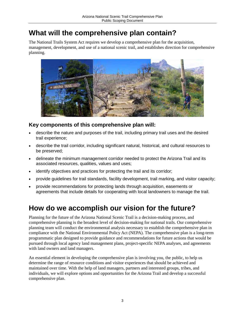## **What will the comprehensive plan contain?**

The National Trails System Act requires we develop a comprehensive plan for the acquisition, management, development, and use of a national scenic trail, and establishes direction for comprehensive planning.



### **Key components of this comprehensive plan will:**

- describe the nature and purposes of the trail, including primary trail uses and the desired trail experience;
- describe the trail corridor, including significant natural, historical, and cultural resources to be preserved;
- delineate the minimum management corridor needed to protect the Arizona Trail and its associated resources, qualities, values and uses;
- identify objectives and practices for protecting the trail and its corridor;
- provide guidelines for trail standards, facility development, trail marking, and visitor capacity;
- provide recommendations for protecting lands through acquisition, easements or agreements that include details for cooperating with local landowners to manage the trail.

## **How do we accomplish our vision for the future?**

Planning for the future of the Arizona National Scenic Trail is a decision-making process, and comprehensive planning is the broadest level of decision-making for national trails. Our comprehensive planning team will conduct the environmental analysis necessary to establish the comprehensive plan in compliance with the National Environmental Policy Act (NEPA). The comprehensive plan is a long-term programmatic plan designed to provide guidance and recommendations for future actions that would be pursued through local agency land management plans, project-specific NEPA analyses, and agreements with land owners and land managers.

An essential element in developing the comprehensive plan is involving you, the public, to help us determine the range of resource conditions and visitor experiences that should be achieved and maintained over time. With the help of land managers, partners and interested groups, tribes, and individuals, we will explore options and opportunities for the Arizona Trail and develop a successful comprehensive plan.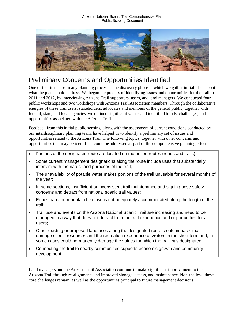

### Preliminary Concerns and Opportunities Identified

One of the first steps in any planning process is the discovery phase in which we gather initial ideas about what the plan should address. We began the process of identifying issues and opportunities for the trail in 2011 and 2012, by interviewing Arizona Trail supporters, users, and land managers. We conducted four public workshops and two workshops with Arizona Trail Association members. Through the collaborative energies of these trail users, stakeholders, advocates and members of the general public, together with federal, state, and local agencies, we defined significant values and identified trends, challenges, and opportunities associated with the Arizona Trail.

Feedback from this initial public sensing, along with the assessment of current conditions conducted by our interdisciplinary planning team, have helped us to identify a preliminary set of issues and opportunities related to the Arizona Trail. The following topics, together with other concerns and opportunities that may be identified, could be addressed as part of the comprehensive planning effort.

- Portions of the designated route are located on motorized routes (roads and trails);
- Some current management designations along the route include uses that substantially interfere with the nature and purposes of the trail;
- The unavailability of potable water makes portions of the trail unusable for several months of the year;
- In some sections, insufficient or inconsistent trail maintenance and signing pose safety concerns and detract from national scenic trail values;
- Equestrian and mountain bike use is not adequately accommodated along the length of the trail;
- Trail use and events on the Arizona National Scenic Trail are increasing and need to be managed in a way that does not detract from the trail experience and opportunities for all users;
- Other existing or proposed land uses along the designated route create impacts that damage scenic resources and the recreation experience of visitors in the short term and, in some cases could permanently damage the values for which the trail was designated.
- Connecting the trail to nearby communities supports economic growth and community development.

Land managers and the Arizona Trail Association continue to make significant improvement to the Arizona Trail through re-alignments and improved signage, access, and maintenance. Non-the-less, these core challenges remain, as well as the opportunities principal to future management decisions.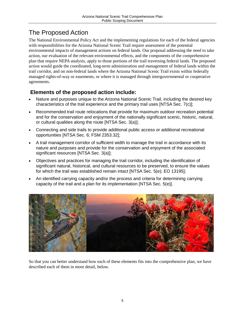## The Proposed Action

The National Environmental Policy Act and the implementing regulations for each of the federal agencies with responsibilities for the Arizona National Scenic Trail require assessment of the potential environmental impacts of management actions on federal lands. Our proposal addressing the need to take action, our evaluation of the relevant environmental effects, and the components of the comprehensive plan that require NEPA analysis, apply to those portions of the trail traversing federal lands. The proposed action would guide the coordinated, long-term administration and management of federal lands within the trail corridor, and on non-federal lands where the Arizona National Scenic Trail exists within federally managed rights-of-way or easements, or where it is managed through intergovernmental or cooperative agreements.

### **Elements of the proposed action include:**

- Nature and purposes unique to the Arizona National Scenic Trail, including the desired key characteristics of the trail experience and the primary trail uses [NTSA Sec. 7(c)];
- Recommended trail route relocations that provide for maximum outdoor recreation potential and for the conservation and enjoyment of the nationally significant scenic, historic, natural, or cultural qualities along the route [NTSA Sec. 3(a)];
- Connecting and side trails to provide additional public access or additional recreational opportunities [NTSA Sec. 6; FSM 2353.32];
- A trail management corridor of sufficient width to manage the trail in accordance with its nature and purposes and provide for the conservation and enjoyment of the associated significant resources [NTSA Sec. 3(a)];
- Objectives and practices for managing the trail corridor, including the identification of significant natural, historical, and cultural resources to be preserved, to ensure the values for which the trail was established remain intact [NTSA Sec. 5(e); EO 13195];
- An identified carrying capacity and/or the process and criteria for determining carrying capacity of the trail and a plan for its implementation [NTSA Sec. 5(e)].



So that you can better understand how each of these elements fits into the comprehensive plan, we have described each of them in more detail, below.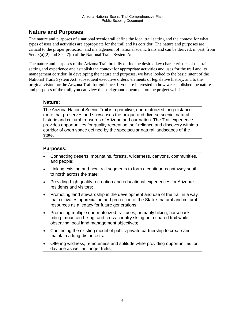### **Nature and Purposes**

The nature and purposes of a national scenic trail define the ideal trail setting and the context for what types of uses and activities are appropriate for the trail and its corridor. The nature and purposes are critical to the proper protection and management of national scenic trails and can be derived, in part, from Sec. 3(a)(2) and Sec. 7(c) of the National Trails System Act.

The nature and purposes of the Arizona Trail broadly define the desired key characteristics of the trail setting and experience and establish the context for appropriate activities and uses for the trail and its management corridor. In developing the nature and purposes, we have looked to the basic intent of the National Trails System Act, subsequent executive orders, elements of legislative history, and to the original vision for the Arizona Trail for guidance. If you are interested in how we established the nature and purposes of the trail, you can view the background document on the project website.

### **Nature:**

The Arizona National Scenic Trail is a primitive, non-motorized long-distance route that preserves and showcases the unique and diverse scenic, natural, historic and cultural treasures of Arizona and our nation. The Trail experience provides opportunities for quality recreation, self-reliance and discovery within a corridor of open space defined by the spectacular natural landscapes of the state.

### **Purposes:**

- Connecting deserts, mountains, forests, wilderness, canyons, communities, and people;
- Linking existing and new trail segments to form a continuous pathway south to north across the state;
- Providing high quality recreation and educational experiences for Arizona's residents and visitors;
- Promoting land stewardship in the development and use of the trail in a way that cultivates appreciation and protection of the State's natural and cultural resources as a legacy for future generations;
- Promoting multiple non-motorized trail uses, primarily hiking, horseback riding, mountain biking, and cross-country skiing on a shared trail while observing local land management objectives;
- Continuing the existing model of public-private partnership to create and maintain a long-distance trail.
- Offering wildness, remoteness and solitude while providing opportunities for day use as well as longer treks.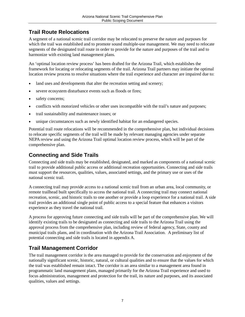### **Trail Route Relocations**

A segment of a national scenic trail corridor may be relocated to preserve the nature and purposes for which the trail was established and to promote sound multiple-use management. We may need to relocate segments of the designated trail route in order to provide for the nature and purposes of the trail and to harmonize with existing land management plans.

An 'optimal location review process' has been drafted for the Arizona Trail, which establishes the framework for locating or relocating segments of the trail. Arizona Trail partners may initiate the optimal location review process to resolve situations where the trail experience and character are impaired due to:

- land uses and developments that alter the recreation setting and scenery;
- severe ecosystem disturbance events such as floods or fires;
- safety concerns;
- conflicts with motorized vehicles or other uses incompatible with the trail's nature and purposes;
- trail sustainability and maintenance issues; or
- unique circumstances such as newly identified habitat for an endangered species.

Potential trail route relocations will be recommended in the comprehensive plan, but individual decisions to relocate specific segments of the trail will be made by relevant managing agencies under separate NEPA review and using the Arizona Trail optimal location review process, which will be part of the comprehensive plan.

### **Connecting and Side Trails**

Connecting and side trails may be established, designated, and marked as components of a national scenic trail to provide additional public access or additional recreation opportunities. Connecting and side trails must support the resources, qualities, values, associated settings, and the primary use or uses of the national scenic trail.

A connecting trail may provide access to a national scenic trail from an urban area, local community, or remote trailhead built specifically to access the national trail. A connecting trail may connect national recreation, scenic, and historic trails to one another or provide a loop experience for a national trail. A side trail provides an additional single point of public access to a special feature that enhances a visitors experience as they travel the national trail.

A process for approving future connecting and side trails will be part of the comprehensive plan. We will identify existing trails to be designated as connecting and side trails to the Arizona Trail using the approval process from the comprehensive plan, including review of federal agency, State, county and municipal trails plans, and in coordination with the Arizona Trail Association. A preliminary list of potential connecting and side trails is located in appendix A.

### **Trail Management Corridor**

The trail management corridor is the area managed to provide for the conservation and enjoyment of the nationally significant scenic, historic, natural, or cultural qualities and to ensure that the values for which the trail was established remain intact. The corridor is an area similar to a management area found in programmatic land management plans, managed primarily for the Arizona Trail experience and used to focus administration, management and protection for the trail, its nature and purposes, and its associated qualities, values and settings.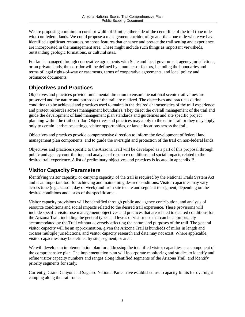We are proposing a minimum corridor width of  $\frac{1}{2}$  mile either side of the centerline of the trail (one mile wide) on federal lands. We could propose a management corridor of greater than one mile where we have identified significant resources, so those features that enhance and protect the trail setting and experience are incorporated in the management area. These might include such things as important viewsheds, outstanding geologic formations, or cultural sites.

For lands managed through cooperative agreements with State and local government agency jurisdictions, or on private lands, the corridor will be defined by a number of factors, including the boundaries and terms of legal rights-of-way or easements, terms of cooperative agreements, and local policy and ordinance documents.

### **Objectives and Practices**

Objectives and practices provide fundamental direction to ensure the national scenic trail values are preserved and the nature and purposes of the trail are realized. The objectives and practices define conditions to be achieved and practices used to maintain the desired characteristics of the trail experience and protect resources across management boundaries. They direct the overall management of the trail and guide the development of land management plan standards and guidelines and site specific project planning within the trail corridor. Objectives and practices may apply to the entire trail or they may apply only to certain landscape settings, visitor opportunities, or land allocations across the trail.

Objectives and practices provide comprehensive direction to inform the development of federal land management plan components, and to guide the oversight and protection of the trail on non-federal lands.

Objectives and practices specific to the Arizona Trail will be developed as a part of this proposal through public and agency contribution, and analysis of resource conditions and social impacts related to the desired trail experience. A list of preliminary objectives and practices is located in appendix B.

### **Visitor Capacity Parameters**

Identifying visitor capacity, or carrying capacity, of the trail is required by the National Trails System Act and is an important tool for achieving and maintaining desired conditions. Visitor capacities may vary across time (e.g., season, day of week) and from site to site and segment to segment, depending on the desired conditions and issues of the specific area.

Visitor capacity provisions will be identified through public and agency contribution, and analysis of resource conditions and social impacts related to the desired trail experience. These provisions will include specific visitor use management objectives and practices that are related to desired conditions for the Arizona Trail, including the general types and levels of visitor use that can be appropriately accommodated by the Trail without adversely affecting the nature and purposes of the trail. The general visitor capacity will be an approximation, given the Arizona Trail is hundreds of miles in length and crosses multiple jurisdictions, and visitor capacity research and data may not exist. Where applicable, visitor capacities may be defined by site, segment, or area.

We will develop an implementation plan for addressing the identified visitor capacities as a component of the comprehensive plan. The implementation plan will incorporate monitoring and studies to identify and refine visitor capacity numbers and ranges along identified segments of the Arizona Trail, and identify priority segments for study.

Currently, Grand Canyon and Saguaro National Parks have established user capacity limits for overnight camping along the trail route.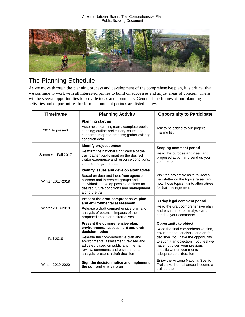

## The Planning Schedule

As we move through the planning process and development of the comprehensive plan, it is critical that we continue to work with all interested parties to build on successes and adjust areas of concern. There will be several opportunities to provide ideas and comments. General time frames of our planning activities and opportunities for formal comment periods are listed below.

| <b>Timeframe</b>   | <b>Planning Activity</b>                                                                                                                                                                                                                                                                     | <b>Opportunity to Participate</b>                                                                                                                                                                                                                                             |
|--------------------|----------------------------------------------------------------------------------------------------------------------------------------------------------------------------------------------------------------------------------------------------------------------------------------------|-------------------------------------------------------------------------------------------------------------------------------------------------------------------------------------------------------------------------------------------------------------------------------|
| 2011 to present    | <b>Planning start up</b><br>Assemble planning team; complete public<br>sensing; outline preliminary issues and<br>concerns; map the process; gather existing<br>condition data                                                                                                               | Ask to be added to our project<br>mailing list                                                                                                                                                                                                                                |
| Summer - Fall 2017 | Identify project context<br>Reaffirm the national significance of the<br>trail; gather public input on the desired<br>visitor experience and resource conditions;<br>continue to gather data                                                                                                 | <b>Scoping comment period</b><br>Read the purpose and need and<br>proposed action and send us your<br>comments                                                                                                                                                                |
| Winter 2017-2018   | Identify issues and develop alternatives<br>Based on data and input from agencies,<br>partners and interested groups and<br>individuals, develop possible options for<br>desired future conditions and management<br>along the trail                                                         | Visit the project website to view a<br>newsletter on the topics raised and<br>how those topics fit into alternatives<br>for trail management                                                                                                                                  |
| Winter 2018-2019   | Present the draft comprehensive plan<br>and environmental assessment<br>Release a draft comprehensive plan and<br>analysis of potential impacts of the<br>proposed action and alternatives                                                                                                   | 30 day legal comment period<br>Read the draft comprehensive plan<br>and environmental analysis and<br>send us your comments                                                                                                                                                   |
| Fall 2019          | Present the comprehensive plan,<br>environmental assessment and draft<br>decision notice<br>Release the comprehensive plan and<br>environmental assessment, revised and<br>adjusted based on public and internal<br>review, comments and environmental<br>analysis; present a draft decision | <b>Opportunity to object</b><br>Read the final comprehensive plan,<br>environmental analysis, and draft<br>decision. You have the opportunity<br>to submit an objection if you feel we<br>have not given your previous<br>specific written comments<br>adequate consideration |
| Winter 2019-2020   | Sign the decision notice and implement<br>the comprehensive plan                                                                                                                                                                                                                             | Enjoy the Arizona National Scenic<br>Trail; hike the trail and/or become a<br>trail partner                                                                                                                                                                                   |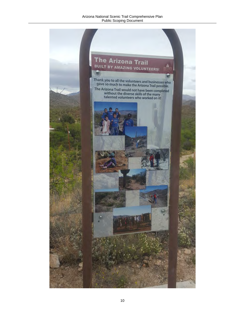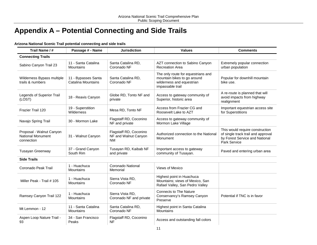## **Appendix A – Potential Connecting and Side Trails**

| Trail Name / #                                                     | Passage # - Name                                 | <b>Jurisdiction</b>                                         | <b>Values</b>                                                                                                      | <b>Comments</b>                                                                                                         |
|--------------------------------------------------------------------|--------------------------------------------------|-------------------------------------------------------------|--------------------------------------------------------------------------------------------------------------------|-------------------------------------------------------------------------------------------------------------------------|
| <b>Connecting Trails</b>                                           |                                                  |                                                             |                                                                                                                    |                                                                                                                         |
| Sabino Canyon Trail 23                                             | 11 - Santa Catalina<br><b>Mountains</b>          | Santa Catalina RD,<br>Coronado NF                           | AZT connection to Sabino Canyon<br><b>Recreation Area</b>                                                          | Extremely popular connection<br>urban population                                                                        |
| Wilderness Bypass multiple<br>trails & numbers                     | 11 - Bypasses Santa<br><b>Catalina Mountains</b> | Santa Catalina RD,<br>Coronado NF                           | The only route for equestrians and<br>mountain bikes to go around<br>wilderness and equestrian<br>impassable trail | Popular for downhill mountain<br>bike use.                                                                              |
| Legends of Superior Trail<br>(LOST)                                | 18 - Reavis Canyon                               | Globe RD, Tonto NF and<br>private                           | Access to gateway community of<br>Superior, historic area                                                          | A re-route is planned that will<br>avoid impacts from highway<br>realignment                                            |
| Frazier Trail 120                                                  | 19 - Superstition<br>Wilderness                  | Mesa RD, Tonto NF                                           | Access from Frazier CG and<br>Roosevelt Lake to AZT                                                                | Important equestrian access site<br>for Superstitions                                                                   |
| Navajo Spring Trail                                                | 30 - Mormon Lake                                 | Flagstaff RD, Coconino<br>NF and private                    | Access to gateway community of<br>Mormon Lake Village                                                              |                                                                                                                         |
| Proposal - Walnut Canyon<br><b>National Monument</b><br>connection | 31 - Walnut Canyon                               | Flagstaff RD, Coconino<br>NF and Walnut Canyon<br><b>NM</b> | Authorized connection to the National<br>Monument                                                                  | This would require construction<br>of single track trail and approval<br>by Forest Service and National<br>Park Service |
| Tusayan Greenway                                                   | 37 - Grand Canyon<br>South Rim                   | Tusayan RD, Kaibab NF<br>and private                        | Important access to gateway<br>community of Tusayan.                                                               | Paved and entering urban area                                                                                           |
| <b>Side Trails</b>                                                 |                                                  |                                                             |                                                                                                                    |                                                                                                                         |
| Coronado Peak Trail                                                | 1 - Huachuca<br><b>Mountains</b>                 | Coronado National<br>Memorial                               | Views of Mexico                                                                                                    |                                                                                                                         |
| Miller Peak - Trail # 105                                          | 1 - Huachuca<br><b>Mountains</b>                 | Sierra Vista RD,<br>Coronado NF                             | Highest point in Huachuca<br>Mountains; views of Mexico, San<br>Rafael Valley, San Pedro Valley                    |                                                                                                                         |
| Ramsey Canyon Trail 122                                            | 1 - Huachuca<br>Mountains                        | Sierra Vista RD,<br>Coronado NF and private                 | <b>Connects to The Nature</b><br>Conservancy's Ramsey Canyon<br>Preserve                                           | Potential if TNC is in favor                                                                                            |
| Mt Lemmon - 12                                                     | 11 - Santa Catalina<br>Mountains                 | Santa Catalina RD,<br>Coronado NF                           | Highest point in Santa Catalina<br>Mountains                                                                       |                                                                                                                         |
| Aspen Loop Nature Trail -<br>93                                    | 34 - San Francisco<br>Peaks                      | Flagstaff RD, Coconino<br>NF                                | Access and outstanding fall colors                                                                                 |                                                                                                                         |

### **Arizona National Scenic Trail potential connecting and side trails**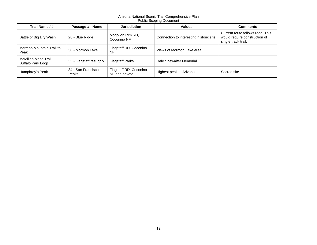| abilo Occoping Docanion.                  |                             |                                          |                                         |                                                                                          |
|-------------------------------------------|-----------------------------|------------------------------------------|-----------------------------------------|------------------------------------------------------------------------------------------|
| Trail Name / #                            | Passage # - Name            | <b>Jurisdiction</b>                      | <b>Values</b>                           | <b>Comments</b>                                                                          |
| Battle of Big Dry Wash                    | 28 - Blue Ridge             | Mogollon Rim RD,<br>Coconino NF          | Connection to interesting historic site | Current route follows road. This<br>would require construction of<br>single track trail. |
| Mormon Mountain Trail to<br>Peak          | 30 - Mormon Lake            | Flagstaff RD, Coconino<br>NF             | Views of Mormon Lake area               |                                                                                          |
| McMillan Mesa Trail,<br>Buffalo Park Loop | 33 - Flagstaff resupply     | <b>Flagstaff Parks</b>                   | Dale Shewalter Memorial                 |                                                                                          |
| Humphrey's Peak                           | 34 - San Francisco<br>Peaks | Flagstaff RD, Coconino<br>NF and private | Highest peak in Arizona.                | Sacred site                                                                              |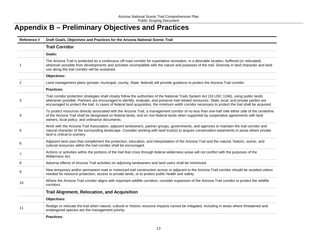## **Appendix B – Preliminary Objectives and Practices**

| Reference # | Draft Goals, Objectives and Practices for the Arizona National Scenic Trail                                                                                                                                                                                                                                                                                                                                                                           |  |  |
|-------------|-------------------------------------------------------------------------------------------------------------------------------------------------------------------------------------------------------------------------------------------------------------------------------------------------------------------------------------------------------------------------------------------------------------------------------------------------------|--|--|
|             | <b>Trail Corridor</b>                                                                                                                                                                                                                                                                                                                                                                                                                                 |  |  |
|             | Goals:                                                                                                                                                                                                                                                                                                                                                                                                                                                |  |  |
|             | The Arizona Trail is protected as a continuous off-road corridor for superlative recreation, in a desirable location, buffered (or relocated)<br>wherever possible from developments and activities incompatible with the nature and purposes of the trail. Diversity in land character and land<br>use along the trail corridor will be sustained.                                                                                                   |  |  |
|             | Objectives:                                                                                                                                                                                                                                                                                                                                                                                                                                           |  |  |
| 2           | Land management plans (private, municipal, county, State, federal) will provide guidance to protect the Arizona Trail corridor.                                                                                                                                                                                                                                                                                                                       |  |  |
|             | <b>Practices:</b>                                                                                                                                                                                                                                                                                                                                                                                                                                     |  |  |
| 3           | Trail corridor protection strategies shall closely follow the authorities of the National Trails System Act (16 USC 1246), using public lands<br>whenever possible. Partners are encouraged to identify, evaluate, and preserve trail-related resources. State, local, and private parties are<br>encouraged to protect the trail. In cases of federal land acquisition, the minimum width corridor necessary to protect the trail shall be acquired. |  |  |
|             | To protect resources directly associated with the Arizona Trail, a management corridor of no less than one-half mile either side of the centerline<br>of the Arizona Trail shall be designated on federal lands, and on non-federal lands when supported by cooperative agreements with land<br>owners, local policy, and ordinance documents.                                                                                                        |  |  |
| 5           | Work with the Arizona Trail Association, adjacent landowners, partner groups, governments, and agencies to maintain the trail corridor and<br>natural character of the surrounding landscape. Consider working with land trust(s) to acquire conservation easements in areas where private<br>land is critical to scenery.                                                                                                                            |  |  |
| 6           | Adjacent land uses that complement the protection, education, and interpretation of the Arizona Trail and the natural, historic, scenic, and<br>cultural resources within the trail corridor shall be encouraged.                                                                                                                                                                                                                                     |  |  |
| 7           | Actions or activities within the portions of the trail that cross through federal wilderness areas will not conflict with the purposes of the<br>Wilderness Act.                                                                                                                                                                                                                                                                                      |  |  |
| 8           | Adverse effects of Arizona Trail activities on adjoining landowners and land users shall be minimized.                                                                                                                                                                                                                                                                                                                                                |  |  |
| 9           | New temporary and/or permanent road or motorized trail construction across or adjacent to the Arizona Trail corridor should be avoided unless<br>needed for resource protection, access to private lands, or to protect public health and safety.                                                                                                                                                                                                     |  |  |
| 10          | Where the Arizona Trail corridor aligns with important wildlife corridors, consider expansion of the Arizona Trail corridor to protect the wildlife<br>corridors.                                                                                                                                                                                                                                                                                     |  |  |
|             | <b>Trail Alignment, Relocation, and Acquisition</b>                                                                                                                                                                                                                                                                                                                                                                                                   |  |  |
|             | <b>Objectives:</b>                                                                                                                                                                                                                                                                                                                                                                                                                                    |  |  |
| 11          | Realign or relocate the trail when natural, cultural or historic resource impacts cannot be mitigated, including in areas where threatened and<br>endangered species are the management priority.                                                                                                                                                                                                                                                     |  |  |
|             | <b>Practices:</b>                                                                                                                                                                                                                                                                                                                                                                                                                                     |  |  |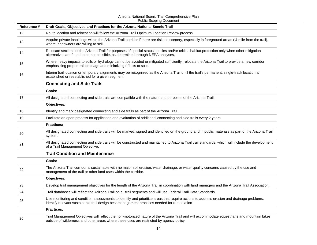| Reference #     | Draft Goals, Objectives and Practices for the Arizona National Scenic Trail                                                                                                                                                              |
|-----------------|------------------------------------------------------------------------------------------------------------------------------------------------------------------------------------------------------------------------------------------|
| 12 <sup>2</sup> | Route location and relocation will follow the Arizona Trail Optimum Location Review process.                                                                                                                                             |
| 13              | Acquire private inholdings within the Arizona Trail corridor if there are risks to scenery, especially in foreground areas (1/2 mile from the trail),<br>where landowners are willing to sell.                                           |
| 14              | Relocate sections of the Arizona Trail for purposes of special-status species and/or critical habitat protection only when other mitigation<br>alternatives are found to be not possible, as determined through NEPA analyses.           |
| 15              | Where heavy impacts to soils or hydrology cannot be avoided or mitigated sufficiently, relocate the Arizona Trail to provide a new corridor<br>emphasizing proper trail drainage and minimizing effects to soils.                        |
| 16              | Interim trail location or temporary alignments may be recognized as the Arizona Trail until the trail's permanent, single-track location is<br>established or reestablished for a given segment.                                         |
|                 | <b>Connecting and Side Trails</b>                                                                                                                                                                                                        |
|                 | Goals:                                                                                                                                                                                                                                   |
| 17              | All designated connecting and side trails are compatible with the nature and purposes of the Arizona Trail.                                                                                                                              |
|                 | Objectives:                                                                                                                                                                                                                              |
| 18              | Identify and mark designated connecting and side trails as part of the Arizona Trail.                                                                                                                                                    |
| 19              | Facilitate an open process for application and evaluation of additional connecting and side trails every 2 years.                                                                                                                        |
|                 | <b>Practices:</b>                                                                                                                                                                                                                        |
| 20              | All designated connecting and side trails will be marked, signed and identified on the ground and in public materials as part of the Arizona Trail<br>system.                                                                            |
| 21              | All designated connecting and side trails will be constructed and maintained to Arizona Trail trail standards, which will include the development<br>of a Trail Management Objective.                                                    |
|                 | <b>Trail Condition and Maintenance</b>                                                                                                                                                                                                   |
|                 | Goals:                                                                                                                                                                                                                                   |
| 22              | The Arizona Trail corridor is sustainable with no major soil erosion, water drainage, or water quality concerns caused by the use and<br>management of the trail or other land uses within the corridor.                                 |
|                 | Objectives:                                                                                                                                                                                                                              |
| 23              | Develop trail management objectives for the length of the Arizona Trail in coordination with land managers and the Arizona Trail Association.                                                                                            |
| 24              | Trail databases will reflect the Arizona Trail on all trail segments and will use Federal Trail Data Standards.                                                                                                                          |
| 25              | Use monitoring and condition assessments to identify and prioritize areas that require actions to address erosion and drainage problems;<br>identify relevant sustainable trail design best management practices needed for remediation. |
|                 | <b>Practices:</b>                                                                                                                                                                                                                        |
| 26              | Trail Management Objectives will reflect the non-motorized nature of the Arizona Trail and will accommodate equestrians and mountain bikes<br>outside of wilderness and other areas where these uses are restricted by agency policy.    |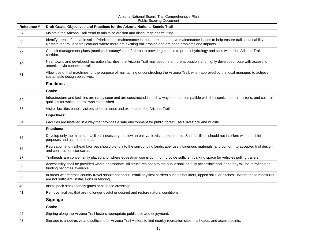| Reference # | Draft Goals, Objectives and Practices for the Arizona National Scenic Trail                                                                                                                                                                                       |
|-------------|-------------------------------------------------------------------------------------------------------------------------------------------------------------------------------------------------------------------------------------------------------------------|
| 27          | Maintain the Arizona Trail tread to minimize erosion and discourage shortcutting.                                                                                                                                                                                 |
| 28          | Identify areas of unstable soils. Prioritize trail maintenance in those areas that have maintenance issues to help ensure trail sustainability.<br>Restore the trail and trail corridor where there are existing trail erosion and drainage problems and impacts. |
| 29          | Consult management plans (municipal, county/state, federal) to provide guidance to protect hydrology and soils within the Arizona Trail<br>corridor.                                                                                                              |
| 30          | Near towns and developed recreation facilities, the Arizona Trail may become a more accessible and highly developed route with access to<br>amenities via connector trails.                                                                                       |
| 31          | Allow use of trail machines for the purpose of maintaining or constructing the Arizona Trail, when approved by the local manager, to achieve<br>sustainable design objectives.                                                                                    |
|             | <b>Facilities</b>                                                                                                                                                                                                                                                 |
|             | Goals:                                                                                                                                                                                                                                                            |
| 32          | Infrastructure and facilities are rarely seen and are constructed in such a way as to be compatible with the scenic, natural, historic, and cultural<br>qualities for which the trail was established.                                                            |
| 33          | Visitor facilities enable visitors to learn about and experience the Arizona Trail.                                                                                                                                                                               |
|             | Objectives:                                                                                                                                                                                                                                                       |
| 34          | Facilities are installed in a way that provides a safe environment for public, forest users, livestock and wildlife.                                                                                                                                              |
|             | <b>Practices:</b>                                                                                                                                                                                                                                                 |
| 35          | Develop only the minimum facilities necessary to allow an enjoyable visitor experience. Such facilities should not interfere with the chief<br>purposes and uses of the trail.                                                                                    |
| 36          | Recreation and trailhead facilities should blend into the surrounding landscape, use indigenous materials, and conform to accepted trail design<br>and construction standards.                                                                                    |
| 37          | Trailheads are conveniently placed and, where equestrian use is common, provide sufficient parking space for vehicles pulling trailers.                                                                                                                           |
| 38          | Accessibility shall be provided where appropriate. All structures open to the public shall be fully accessible and if not they will be retrofitted as<br>funding becomes available.                                                                               |
| 39          | In areas where cross country travel should not occur, install physical barriers such as boulders, ripped soils, or ditches. Where these measures<br>are not sufficient, install signs or fencing.                                                                 |
| 40          | Install pack stock friendly gates at all fence crossings.                                                                                                                                                                                                         |
| 41          | Remove facilities that are no longer useful or desired and restore natural conditions.                                                                                                                                                                            |
|             | <b>Signage</b>                                                                                                                                                                                                                                                    |
|             | Goals:                                                                                                                                                                                                                                                            |
| 42          | Signing along the Arizona Trail fosters appropriate public use and enjoyment.                                                                                                                                                                                     |
| 43          | Signage is unobtrusive and sufficient for Arizona Trail visitors to find nearby recreation sites, trailheads, and access points.                                                                                                                                  |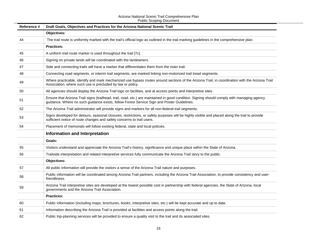| Reference # | Draft Goals, Objectives and Practices for the Arizona National Scenic Trail                                                                                                                                                               |  |  |
|-------------|-------------------------------------------------------------------------------------------------------------------------------------------------------------------------------------------------------------------------------------------|--|--|
|             | <b>Objectives:</b>                                                                                                                                                                                                                        |  |  |
| 44          | The trail route is uniformly marked with the trail's official logo as outlined in the trail marking guidelines in the comprehensive plan.                                                                                                 |  |  |
|             | <b>Practices:</b>                                                                                                                                                                                                                         |  |  |
| 45          | A uniform trail route marker is used throughout the trail [7c].                                                                                                                                                                           |  |  |
| 46          | Signing on private lands will be coordinated with the landowners.                                                                                                                                                                         |  |  |
| 47          | Side and connecting trails will have a marker that differentiates them from the main trail.                                                                                                                                               |  |  |
| 48          | Connecting road segments, or interim trail segments, are marked linking non-motorized trail tread segments.                                                                                                                               |  |  |
| 49          | Where practicable, identify and mark mechanized use bypass routes around sections of the Arizona Trail, in coordination with the Arizona Trail<br>Association, where such use is precluded by law or policy.                              |  |  |
| 50          | All agencies should display the Arizona Trail logo on facilities, and at access points and interpretive sites.                                                                                                                            |  |  |
| 51          | Ensure that Arizona Trail signs (trailhead, trail, road, etc.) are maintained in good condition. Signing should comply with managing agency<br>guidance. Where no such guidance exists, follow Forest Service Sign and Poster Guidelines. |  |  |
| 52          | The Arizona Trail administrator will provide signs and markers for all non-federal trail segments.                                                                                                                                        |  |  |
| 53          | Signs developed for detours, seasonal closures, restrictions, or safety purposes will be highly visible and placed along the trail to provide<br>sufficient notice of route changes and safety concerns to trail users.                   |  |  |
| 54          | Placement of memorials will follow existing federal, state and local policies.                                                                                                                                                            |  |  |
|             | Information and Interpretation                                                                                                                                                                                                            |  |  |
|             | Goals:                                                                                                                                                                                                                                    |  |  |
| 55          | Visitors understand and appreciate the Arizona Trail's history, significance and unique place within the State of Arizona.                                                                                                                |  |  |
| 56          | Trailside interpretation and related interpretive services fully communicate the Arizona Trail story to the public.                                                                                                                       |  |  |
|             | Objectives:                                                                                                                                                                                                                               |  |  |
| 57          | All public information will provide the visitors a sense of the Arizona Trail nature and purposes.                                                                                                                                        |  |  |
| 58          | Public information will be coordinated among Arizona Trail partners, including the Arizona Trail Association, to provide consistency and user-<br>friendliness.                                                                           |  |  |
| 59          | Arizona Trail interpretive sites are developed at the lowest possible cost in partnership with federal agencies, the State of Arizona, local<br>governments and the Arizona Trail Association.                                            |  |  |
|             | <b>Practices:</b>                                                                                                                                                                                                                         |  |  |
| 60          | Public information (including maps, brochures, books, interpretive sites, etc.) will be kept accurate and up to date.                                                                                                                     |  |  |
| 61          | Information describing the Arizona Trail is provided at facilities and access points along the trail.                                                                                                                                     |  |  |
| 62          | Public trip-planning services will be provided to ensure a quality visit to the trail and its associated sites.                                                                                                                           |  |  |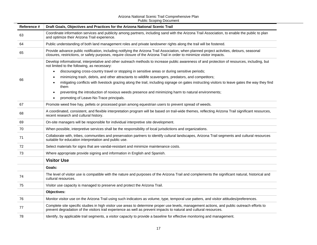| Reference # | Draft Goals, Objectives and Practices for the Arizona National Scenic Trail                                                                                                                                                                                          |
|-------------|----------------------------------------------------------------------------------------------------------------------------------------------------------------------------------------------------------------------------------------------------------------------|
| 63          | Coordinate information services and publicity among partners, including sand with the Arizona Trail Association, to enable the public to plan<br>and optimize their Arizona Trail experience.                                                                        |
| 64          | Public understanding of both land management roles and private landowner rights along the trail will be fostered.                                                                                                                                                    |
| 65          | Provide advance public notification, including notifying the Arizona Trail Association, when planned project activities, detours, seasonal<br>closures, restrictions, or safety purposes, require closure of the Arizona Trail in order to minimize visitor impacts. |
|             | Develop informational, interpretative and other outreach methods to increase public awareness of and protection of resources, including, but<br>not limited to the following, as necessary:                                                                          |
|             | discouraging cross-country travel or stopping in sensitive areas or during sensitive periods;<br>$\bullet$                                                                                                                                                           |
| 66          | minimizing trash, debris, and other attractants to wildlife scavengers, predators, and competitors;<br>$\bullet$                                                                                                                                                     |
|             | mitigating conflicts with livestock grazing along the trail, including signage on gates instructing visitors to leave gates the way they find<br>$\bullet$<br>them                                                                                                   |
|             | preventing the introduction of noxious weeds presence and minimizing harm to natural environments;<br>$\bullet$                                                                                                                                                      |
|             | promoting of Leave-No-Trace principals.<br>$\bullet$                                                                                                                                                                                                                 |
| 67          | Promote weed free hay, pellets or processed grain among equestrian users to prevent spread of weeds.                                                                                                                                                                 |
| 68          | A coordinated, consistent, and flexible interpretation program will be based on trail-wide themes, reflecting Arizona Trail significant resources,<br>recent research and cultural history.                                                                          |
| 69          | On-site managers will be responsible for individual interpretive site development.                                                                                                                                                                                   |
| 70          | When possible, interpretive services shall be the responsibility of local jurisdictions and organizations.                                                                                                                                                           |
| 71          | Collaborate with, tribes, communities and preservation partners to identify cultural landscapes, Arizona Trail segments and cultural resources<br>suitable for education interpretation and public use.                                                              |
| 72          | Select materials for signs that are vandal-resistant and minimize maintenance costs.                                                                                                                                                                                 |
| 73          | Where appropriate provide signing and information in English and Spanish.                                                                                                                                                                                            |
|             | <b>Visitor Use</b>                                                                                                                                                                                                                                                   |
|             | Goals:                                                                                                                                                                                                                                                               |
| 74          | The level of visitor use is compatible with the nature and purposes of the Arizona Trail and complements the significant natural, historical and<br>cultural resources.                                                                                              |
| 75          | Visitor use capacity is managed to preserve and protect the Arizona Trail.                                                                                                                                                                                           |
|             | Objectives:                                                                                                                                                                                                                                                          |
| 76          | Monitor visitor use on the Arizona Trail using such indicators as volume, type, temporal use patters, and visitor attitudes/preferences.                                                                                                                             |
| 77          | Complete site specific studies in high visitor use areas to determine proper use levels, management actions, and public outreach efforts to<br>prevent degradation of the visitors trail experience as well as prevent impacts to natural and cultural resources.    |
| 78          | Identify, by applicable trail segments, a visitor capacity to provide a baseline for effective monitoring and management.                                                                                                                                            |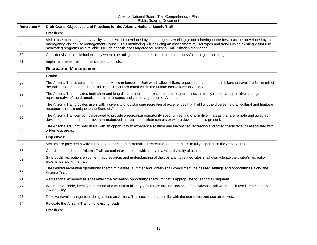| Reference # | Draft Goals, Objectives and Practices for the Arizona National Scenic Trail                                                                                                                                                                                                                                                                                                                                 |
|-------------|-------------------------------------------------------------------------------------------------------------------------------------------------------------------------------------------------------------------------------------------------------------------------------------------------------------------------------------------------------------------------------------------------------------|
|             | <b>Practices:</b>                                                                                                                                                                                                                                                                                                                                                                                           |
| 79          | Visitor use monitoring and capacity studies will be developed by an interagency working group adhering to the best practices developed by the<br>Interagency Visitor Use Management Council. This monitoring will including an assessment of user types and trends using existing visitor use<br>monitoring programs as available. Include specific sites targeted for Arizona Trail visitation monitoring. |
| 80          | Consider visitor use limitations only when other mitigation are determined to be unsuccessful through monitoring.                                                                                                                                                                                                                                                                                           |
| 81          | Implement measures to minimize user conflicts.                                                                                                                                                                                                                                                                                                                                                              |
|             | <b>Recreation Management</b>                                                                                                                                                                                                                                                                                                                                                                                |
|             | Goals:                                                                                                                                                                                                                                                                                                                                                                                                      |
| 82          | The Arizona Trail is continuous from the Mexican border to Utah which allows hikers, equestrians and mountain bikers to travel the full length of<br>the trail to experience the beautiful scenic resources found within the unique ecosystems of Arizona.                                                                                                                                                  |
| 83          | The Arizona Trail provides both short and long distance non-motorized recreation opportunities in mainly remote and primitive settings<br>representative of the dramatic natural landscapes and varied vegetation of Arizona.                                                                                                                                                                               |
| 84          | The Arizona Trail provides users with a diversity of outstanding recreational experiences that highlight the diverse natural, cultural and heritage<br>resources that are unique to the State of Arizona.                                                                                                                                                                                                   |
| 85          | The Arizona Trail corridor is managed to provide a recreation opportunity spectrum setting of primitive in areas that are remote and away from<br>development, and semi-primitive non-motorized in areas near urban centers or where development is present.                                                                                                                                                |
| 86          | The Arizona Trail provides users with an opportunity to experience solitude and unconfined recreation and other characteristics associated with<br>wilderness areas.                                                                                                                                                                                                                                        |
|             | Objectives:                                                                                                                                                                                                                                                                                                                                                                                                 |
| 87          | Visitors are provided a wide range of appropriate non-motorized recreational opportunities to fully experience the Arizona Trail.                                                                                                                                                                                                                                                                           |
| 88          | Coordinate a coherent Arizona Trail recreation experience which serves a wide diversity of users.                                                                                                                                                                                                                                                                                                           |
| 89          | Safe public recreation, enjoyment, appreciation, and understanding of the trail and its related sites shall characterize the visitor's recreation<br>experience along the trail.                                                                                                                                                                                                                            |
| 90          | The desired recreation opportunity spectrum classes (summer and winter) shall compliment the desired settings and opportunities along the<br>Arizona Trail.                                                                                                                                                                                                                                                 |
| 91          | Recreational experiences shall reflect the recreation opportunity spectrum that is appropriate for each trail segment.                                                                                                                                                                                                                                                                                      |
| 92          | Where practicable, identify equestrian and mountain bike bypass routes around sections of the Arizona Trail where such use is restricted by<br>law or policy.                                                                                                                                                                                                                                               |
| 93          | Resolve travel management designations on Arizona Trail sections that conflict with the non-motorized use objectives.                                                                                                                                                                                                                                                                                       |
| 94          | Relocate the Arizona Trail off of existing roads.                                                                                                                                                                                                                                                                                                                                                           |
|             | <b>Practices:</b>                                                                                                                                                                                                                                                                                                                                                                                           |
|             |                                                                                                                                                                                                                                                                                                                                                                                                             |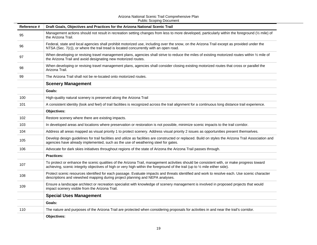| Reference # | Draft Goals, Objectives and Practices for the Arizona National Scenic Trail                                                                                                                                                                                               |
|-------------|---------------------------------------------------------------------------------------------------------------------------------------------------------------------------------------------------------------------------------------------------------------------------|
| 95          | Management actions should not result in recreation setting changes from less to more developed, particularly within the foreground (1/2 mile) of<br>the Arizona Trail.                                                                                                    |
| 96          | Federal, state and local agencies shall prohibit motorized use, including over the snow, on the Arizona Trail except as provided under the<br>NTSA (Sec. 7(c)), or where the trail tread is located concurrently with an open road.                                       |
| 97          | When developing or revising travel management plans, agencies shall strive to reduce the miles of existing motorized routes within 1/2 mile of<br>the Arizona Trail and avoid designating new motorized routes.                                                           |
| 98          | When developing or revising travel management plans, agencies shall consider closing existing motorized routes that cross or parallel the<br>Arizona Trail.                                                                                                               |
| 99          | The Arizona Trail shall not be re-located onto motorized routes.                                                                                                                                                                                                          |
|             | <b>Scenery Management</b>                                                                                                                                                                                                                                                 |
|             | Goals:                                                                                                                                                                                                                                                                    |
| 100         | High-quality natural scenery is preserved along the Arizona Trail                                                                                                                                                                                                         |
| 101         | A consistent identity (look and feel) of trail facilities is recognized across the trail alignment for a continuous long distance trail experience.                                                                                                                       |
|             | <b>Objectives:</b>                                                                                                                                                                                                                                                        |
| 102         | Restore scenery where there are existing impacts.                                                                                                                                                                                                                         |
| 103         | In developed areas and locations where preservation or restoration is not possible, minimize scenic impacts to the trail corridor.                                                                                                                                        |
| 104         | Address all areas mapped as visual priority 1 to protect scenery. Address visual priority 2 issues as opportunities present themselves.                                                                                                                                   |
| 105         | Develop design guidelines for trail facilities and utilize as facilities are constructed or replaced. Build on styles the Arizona Trail Association and<br>agencies have already implemented, such as the use of weathering steel for gates.                              |
| 106         | Advocate for dark skies initiatives throughout regions of the state of Arizona the Arizona Trail passes through.                                                                                                                                                          |
|             | <b>Practices:</b>                                                                                                                                                                                                                                                         |
| 107         | To protect or enhance the scenic qualities of the Arizona Trail, management activities should be consistent with, or make progress toward<br>achieving, scenic integrity objectives of high or very high within the foreground of the trail (up to 1/2 mile either side). |
| 108         | Protect scenic resources identified for each passage. Evaluate impacts and threats identified and work to resolve each. Use scenic character<br>descriptions and viewshed mapping during project planning and NEPA analyses.                                              |
| 109         | Ensure a landscape architect or recreation specialist with knowledge of scenery management is involved in proposed projects that would<br>impact scenery visible from the Arizona Trail.                                                                                  |
|             | <b>Special Uses Management</b>                                                                                                                                                                                                                                            |
|             | Goals:                                                                                                                                                                                                                                                                    |
| 110         | The nature and purposes of the Arizona Trail are protected when considering proposals for activities in and near the trail's corridor.                                                                                                                                    |
|             | <b>Objectives:</b>                                                                                                                                                                                                                                                        |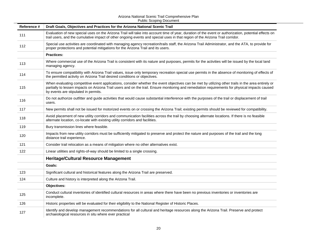| Reference # | Draft Goals, Objectives and Practices for the Arizona National Scenic Trail                                                                                                                                                                                                                                                                   |
|-------------|-----------------------------------------------------------------------------------------------------------------------------------------------------------------------------------------------------------------------------------------------------------------------------------------------------------------------------------------------|
| 111         | Evaluation of new special uses on the Arizona Trail will take into account time of year, duration of the event or authorization, potential effects on<br>trail users, and the cumulative impact of other ongoing events and special uses in that region of the Arizona Trail corridor.                                                        |
| 112         | Special use activities are coordinated with managing agency recreation/trails staff, the Arizona Trail Administrator, and the ATA, to provide for<br>proper protections and potential mitigations for the Arizona Trail and its users.                                                                                                        |
|             | <b>Practices:</b>                                                                                                                                                                                                                                                                                                                             |
| 113         | Where commercial use of the Arizona Trail is consistent with its nature and purposes, permits for the activities will be issued by the local land<br>managing agency.                                                                                                                                                                         |
| 114         | To ensure compatibility with Arizona Trail values, issue only temporary recreation special use permits in the absence of monitoring of effects of<br>the permitted activity on Arizona Trail desired conditions or objectives.                                                                                                                |
| 115         | When evaluating competitive event applications, consider whether the event objectives can be met by utilizing other trails in the area entirely or<br>partially to lessen impacts on Arizona Trail users and on the trail. Ensure monitoring and remediation requirements for physical impacts caused<br>by events are stipulated in permits. |
| 116         | Do not authorize outfitter and guide activities that would cause substantial interference with the purposes of the trail or displacement of trail<br>users.                                                                                                                                                                                   |
| 117         | New permits shall not be issued for motorized events on or crossing the Arizona Trail; existing permits should be reviewed for compatibility.                                                                                                                                                                                                 |
| 118         | Avoid placement of new utility corridors and communication facilities across the trail by choosing alternate locations. If there is no feasible<br>alternate location, co-locate with existing utility corridors and facilities.                                                                                                              |
| 119         | Bury transmission lines where feasible.                                                                                                                                                                                                                                                                                                       |
| 120         | Impacts from new utility corridors must be sufficiently mitigated to preserve and protect the nature and purposes of the trail and the long<br>distance trail experience.                                                                                                                                                                     |
| 121         | Consider trail relocation as a means of mitigation where no other alternatives exist.                                                                                                                                                                                                                                                         |
| 122         | Linear utilities and rights-of-way should be limited to a single crossing.                                                                                                                                                                                                                                                                    |
|             | <b>Heritage/Cultural Resource Management</b>                                                                                                                                                                                                                                                                                                  |
|             | Goals:                                                                                                                                                                                                                                                                                                                                        |
| 123         | Significant cultural and historical features along the Arizona Trail are preserved.                                                                                                                                                                                                                                                           |
| 124         | Culture and history is interpreted along the Arizona Trail.                                                                                                                                                                                                                                                                                   |
|             | Objectives:                                                                                                                                                                                                                                                                                                                                   |
| 125         | Conduct cultural inventories of identified cultural resources in areas where there have been no previous inventories or inventories are<br>incomplete.                                                                                                                                                                                        |
| 126         | Historic properties will be evaluated for their eligibility to the National Register of Historic Places.                                                                                                                                                                                                                                      |
| 127         | Identify and develop management recommendations for all cultural and heritage resources along the Arizona Trail. Preserve and protect<br>archaeological resources in situ where ever practical                                                                                                                                                |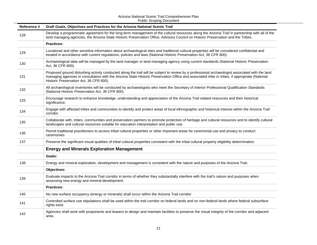| Reference # | Draft Goals, Objectives and Practices for the Arizona National Scenic Trail                                                                                                                                                                                                                                                                   |
|-------------|-----------------------------------------------------------------------------------------------------------------------------------------------------------------------------------------------------------------------------------------------------------------------------------------------------------------------------------------------|
| 128         | Develop a programmatic agreement for the long-term management of the cultural resources along the Arizona Trail in partnership with all of the<br>land managing agencies, the Arizona State Historic Preservation Office, Advisory Council on Historic Preservation and the Tribes.                                                           |
|             | <b>Practices:</b>                                                                                                                                                                                                                                                                                                                             |
| 129         | Locational and other sensitive information about archaeological sites and traditional cultural properties will be considered confidential and<br>treated in accordance with current regulations, policies and laws (National Historic Preservation Act, 36 CFR 800).                                                                          |
| 130         | Archaeological data will be managed by the land manager or land managing agency using current standards (National Historic Preservation<br>Act, 36 CFR 800).                                                                                                                                                                                  |
| 131         | Proposed ground disturbing activity conducted along the trail will be subject to review by a professional archaeologist associated with the land<br>managing agencies in consultation with the Arizona State Historic Preservation Office and associated tribe or tribes, if appropriate (National<br>Historic Preservation Act, 36 CFR 800). |
| 132         | All archaeological inventories will be conducted by archaeologists who meet the Secretary of Interior Professional Qualification Standards<br>(National Historic Preservation Act, 36 CFR 800).                                                                                                                                               |
| 133         | Encourage research to enhance knowledge; understanding and appreciation of the Arizona Trail related resources and their historical<br>significance.                                                                                                                                                                                          |
| 134         | Engage with affected tribes and communities to identify and protect areas of local ethnographic and historical interest within the Arizona Trail<br>corridor.                                                                                                                                                                                 |
| 135         | Collaborate with, tribes, communities and preservation partners to promote protection of heritage and cultural resources and to identify cultural<br>landscapes and cultural resources suitable for education interpretation and public use.                                                                                                  |
| 136         | Permit traditional practitioners to access tribal cultural properties or other important areas for ceremonial use and privacy to conduct<br>ceremonies                                                                                                                                                                                        |
| 137         | Preserve the significant visual qualities of tribal cultural properties consistent with the tribal cultural property eligibility determination.                                                                                                                                                                                               |
|             | <b>Energy and Minerals Exploration Management</b>                                                                                                                                                                                                                                                                                             |
|             | Goals:                                                                                                                                                                                                                                                                                                                                        |
| 138         | Energy and mineral exploration, development and management is consistent with the nature and purposes of the Arizona Trail.                                                                                                                                                                                                                   |
|             | <b>Objectives:</b>                                                                                                                                                                                                                                                                                                                            |
| 139         | Evaluate impacts to the Arizona Trail corridor in terms of whether they substantially interfere with the trail's nature and purposes when<br>assessing new energy and mineral development.                                                                                                                                                    |
|             | <b>Practices:</b>                                                                                                                                                                                                                                                                                                                             |
| 140         | No new surface occupancy (energy or minerals) shall occur within the Arizona Trail corridor                                                                                                                                                                                                                                                   |
| 141         | Controlled surface use stipulations shall be used within the trail corridor on federal lands and on non-federal lands where federal subsurface<br>rights exist.                                                                                                                                                                               |
| 142         | Agencies shall work with proponents and leasers to design and maintain facilities to preserve the visual integrity of the corridor and adjacent<br>area.                                                                                                                                                                                      |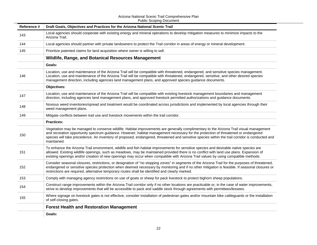| Reference # | Draft Goals, Objectives and Practices for the Arizona National Scenic Trail                                                                                                                                                                                                                                                                                                                                                                     |
|-------------|-------------------------------------------------------------------------------------------------------------------------------------------------------------------------------------------------------------------------------------------------------------------------------------------------------------------------------------------------------------------------------------------------------------------------------------------------|
| 143         | Local agencies should cooperate with existing energy and mineral operations to develop mitigation measures to minimize impacts to the<br>Arizona Trail.                                                                                                                                                                                                                                                                                         |
| 144         | Local agencies should partner with private landowners to protect the Trail corridor in areas of energy or mineral development.                                                                                                                                                                                                                                                                                                                  |
| 145         | Prioritize patented claims for land acquisition where owner is willing to sell.                                                                                                                                                                                                                                                                                                                                                                 |
|             | Wildlife, Range, and Botanical Resources Management                                                                                                                                                                                                                                                                                                                                                                                             |
|             | Goals:                                                                                                                                                                                                                                                                                                                                                                                                                                          |
| 146         | Location, use and maintenance of the Arizona Trail will be compatible with threatened, endangered, and sensitive species management.<br>Location, use and maintenance of the Arizona Trail will be compatible with threatened, endangered, sensitive, and other desired species<br>management direction, including agencies land management plans, and approved species guidance documents.                                                     |
|             | Objectives:                                                                                                                                                                                                                                                                                                                                                                                                                                     |
| 147         | Location, use and maintenance of the Arizona Trail will be compatible with existing livestock management boundaries and management<br>direction, including agencies land management plans, and approved livestock permitted authorizations and guidance documents.                                                                                                                                                                              |
| 148         | Noxious weed inventories/spread and treatment would be coordinated across jurisdictions and implemented by local agencies through their<br>weed management plans.                                                                                                                                                                                                                                                                               |
| 149         | Mitigate conflicts between trail use and livestock movements within the trail corridor.                                                                                                                                                                                                                                                                                                                                                         |
|             | <b>Practices:</b>                                                                                                                                                                                                                                                                                                                                                                                                                               |
| 150         | Vegetation may be managed to conserve wildlife. Habitat improvements are generally complimentary to the Arizona Trail visual management<br>and recreation opportunity spectrum guidance. However, habitat management necessary for the protection of threatened or endangered<br>species will take precedence. An inventory of proposed, endangered, threatened and sensitive species within the trail corridor is conducted and<br>maintained. |
| 151         | To enhance the Arizona Trail environment, wildlife and fish habitat improvements for sensitive species and desirable native species are<br>allowed. Existing wildlife openings, such as meadows, may be maintained provided there is no conflict with land use plans. Expansion of<br>existing openings and/or creation of new openings may occur when compatible with Arizona Trail values by using compatible methods.                        |
| 152         | Consider seasonal closures, restrictions, or designation of "no stopping zones" in segments of the Arizona Trail for the purposes of threatened,<br>endangered or sensitive species protection when deemed necessary by monitoring and if no other mitigation is feasible. If seasonal closures or<br>restrictions are required, alternative temporary routes shall be identified and clearly marked.                                           |
| 153         | Comply with managing agency restrictions on use of goats or sheep for pack livestock to protect bighorn sheep populations.                                                                                                                                                                                                                                                                                                                      |
| 154         | Construct range improvements within the Arizona Trail corridor only if no other locations are practicable or, in the case of water improvements,<br>strive to develop improvements that will be accessible to pack and saddle stock through agreements with permittees/lessees.                                                                                                                                                                 |
| 155         | Where signage on livestock gates is not effective, consider installation of pedestrian gates and/or mountain bike cattleguards or the installation<br>of self-closing gates.                                                                                                                                                                                                                                                                    |
|             | <b>Forest Health and Restoration Management</b>                                                                                                                                                                                                                                                                                                                                                                                                 |
|             | Goals:                                                                                                                                                                                                                                                                                                                                                                                                                                          |
|             |                                                                                                                                                                                                                                                                                                                                                                                                                                                 |